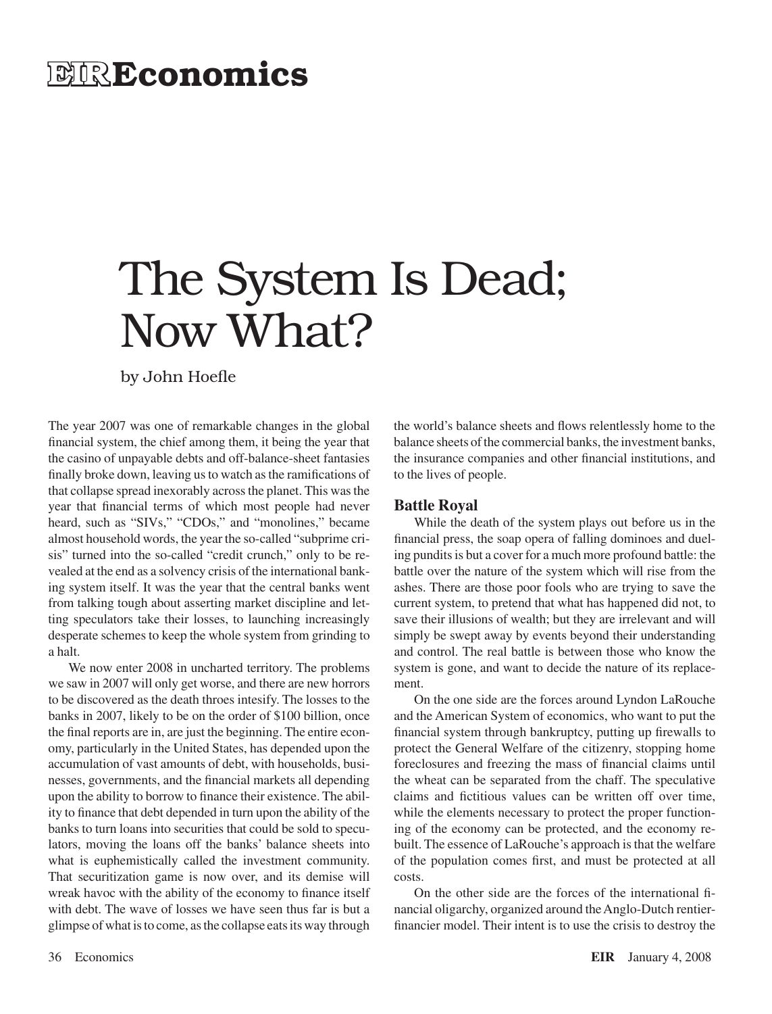# **EIRE conomics**

# The System Is Dead; Now What?

by John Hoefle

The year 2007 was one of remarkable changes in the global financial system, the chief among them, it being the year that the casino of unpayable debts and off-balance-sheet fantasies finally broke down, leaving us to watch as the ramifications of that collapse spread inexorably acrossthe planet. This wasthe year that financial terms of which most people had never heard, such as "SIVs," "CDOs," and "monolines," became almost household words, the year the so-called "subprime crisis" turned into the so-called "credit crunch," only to be revealed at the end as a solvency crisis of the international banking system itself. It was the year that the central banks went from talking tough about asserting market discipline and letting speculators take their losses, to launching increasingly desperate schemes to keep the whole system from grinding to a halt.

We now enter 2008 in uncharted territory. The problems we saw in 2007 will only get worse, and there are new horrors to be discovered as the death throes intesify. The losses to the banks in 2007, likely to be on the order of \$100 billion, once the final reports are in, are just the beginning. The entire economy, particularly in the United States, has depended upon the accumulation of vast amounts of debt, with households, businesses, governments, and the financial markets all depending upon the ability to borrow to finance their existence. The ability to finance that debt depended in turn upon the ability of the banks to turn loans into securities that could be sold to speculators, moving the loans off the banks' balance sheets into what is euphemistically called the investment community. That securitization game is now over, and its demise will wreak havoc with the ability of the economy to finance itself with debt. The wave of losses we have seen thus far is but a glimpse of what isto come, asthe collapse eatsits way through the world's balance sheets and flows relentlessly home to the balance sheets of the commercial banks, the investment banks, the insurance companies and other financial institutions, and to the lives of people.

#### **Battle Royal**

While the death of the system plays out before us in the financial press, the soap opera of falling dominoes and dueling pundits is but a cover for a much more profound battle: the battle over the nature of the system which will rise from the ashes. There are those poor fools who are trying to save the current system, to pretend that what has happened did not, to save their illusions of wealth; but they are irrelevant and will simply be swept away by events beyond their understanding and control. The real battle is between those who know the system is gone, and want to decide the nature of its replacement.

On the one side are the forces around Lyndon LaRouche and the American System of economics, who want to put the financial system through bankruptcy, putting up firewalls to protect the General Welfare of the citizenry, stopping home foreclosures and freezing the mass of financial claims until the wheat can be separated from the chaff. The speculative claims and fictitious values can be written off over time, while the elements necessary to protect the proper functioning of the economy can be protected, and the economy rebuilt. The essence of LaRouche's approach is that the welfare of the population comes first, and must be protected at all costs.

On the other side are the forces of the international financial oligarchy, organized around theAnglo-Dutch rentierfinancier model. Their intent is to use the crisis to destroy the